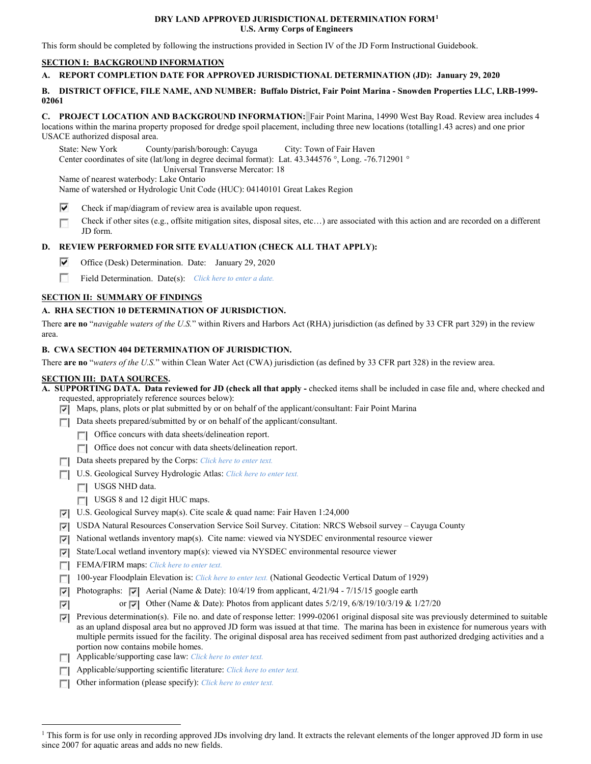# **DRY LAND APPROVED JURISDICTIONAL DETERMINATION FORM[1](#page-0-0) U.S. Army Corps of Engineers**

This form should be completed by following the instructions provided in Section IV of the JD Form Instructional Guidebook.

# **SECTION I: BACKGROUND INFORMATION**

#### **A. REPORT COMPLETION DATE FOR APPROVED JURISDICTIONAL DETERMINATION (JD): January 29, 2020**

## **B. DISTRICT OFFICE, FILE NAME, AND NUMBER: Buffalo District, Fair Point Marina - Snowden Properties LLC, LRB-1999- 02061**

**C. PROJECT LOCATION AND BACKGROUND INFORMATION:** Fair Point Marina, 14990 West Bay Road. Review area includes 4 locations within the marina property proposed for dredge spoil placement, including three new locations (totalling1.43 acres) and one prior USACE authorized disposal area.

State: New York County/parish/borough: Cayuga City: Town of Fair Haven Center coordinates of site (lat/long in degree decimal format): Lat. 43.344576 °, Long. -76.712901 ° Universal Transverse Mercator: 18 Name of nearest waterbody: Lake Ontario

Name of watershed or Hydrologic Unit Code (HUC): 04140101 Great Lakes Region

- ⊽ Check if map/diagram of review area is available upon request.
- Check if other sites (e.g., offsite mitigation sites, disposal sites, etc…) are associated with this action and are recorded on a different г JD form.

# **D. REVIEW PERFORMED FOR SITE EVALUATION (CHECK ALL THAT APPLY):**

- ⊽ Office (Desk) Determination. Date: January 29, 2020
- П Field Determination. Date(s): *Click here to enter a date.*

# **SECTION II: SUMMARY OF FINDINGS**

#### **A. RHA SECTION 10 DETERMINATION OF JURISDICTION.**

There **are no** "*navigable waters of the U.S.*" within Rivers and Harbors Act (RHA) jurisdiction (as defined by 33 CFR part 329) in the review area.

#### **B. CWA SECTION 404 DETERMINATION OF JURISDICTION.**

There **are no** "*waters of the U.S.*" within Clean Water Act (CWA) jurisdiction (as defined by 33 CFR part 328) in the review area.

#### **SECTION III: DATA SOURCES.**

| A. SUPPORTING DATA. Data reviewed for JD (check all that apply - checked items shall be included in case file and, where checked and |  |
|--------------------------------------------------------------------------------------------------------------------------------------|--|
| requested, appropriately reference sources below):                                                                                   |  |

- Maps, plans, plots or plat submitted by or on behalf of the applicant/consultant: Fair Point Marina
- Data sheets prepared/submitted by or on behalf of the applicant/consultant.
	- Office concurs with data sheets/delineation report.
	- Office does not concur with data sheets/delineation report.
- Data sheets prepared by the Corps: *Click here to enter text.*
- U.S. Geological Survey Hydrologic Atlas: *Click here to enter text.*
	- USGS NHD data.
	- USGS 8 and 12 digit HUC maps.
- U.S. Geological Survey map(s). Cite scale & quad name: Fair Haven 1:24,000
- USDA Natural Resources Conservation Service Soil Survey. Citation: NRCS Websoil survey Cayuga County
- $\triangledown$  National wetlands inventory map(s). Cite name: viewed via NYSDEC environmental resource viewer
- State/Local wetland inventory map(s): viewed via NYSDEC environmental resource viewer
- FEMA/FIRM maps: *Click here to enter text.*
- 100-year Floodplain Elevation is: *Click here to enter text.* (National Geodectic Vertical Datum of 1929)
- **Photographs:**  $\vec{v}$  Aerial (Name & Date): 10/4/19 from applicant, 4/21/94 7/15/15 google earth
- or  $\overline{|v|}$  Other (Name & Date): Photos from applicant dates 5/2/19, 6/8/19/10/3/19 & 1/27/20 ⊽
- Previous determination(s). File no. and date of response letter: 1999-02061 original disposal site was previously determined to suitable as an upland disposal area but no approved JD form was issued at that time. The marina has been in existence for numerous years with multiple permits issued for the facility. The original disposal area has received sediment from past authorized dredging activities and a portion now contains mobile homes.
- Applicable/supporting case law: *Click here to enter text.*
- Applicable/supporting scientific literature: *Click here to enter text.*
- Other information (please specify): *Click here to enter text.*

<span id="page-0-0"></span><sup>&</sup>lt;sup>1</sup> This form is for use only in recording approved JDs involving dry land. It extracts the relevant elements of the longer approved JD form in use since 2007 for aquatic areas and adds no new fields.